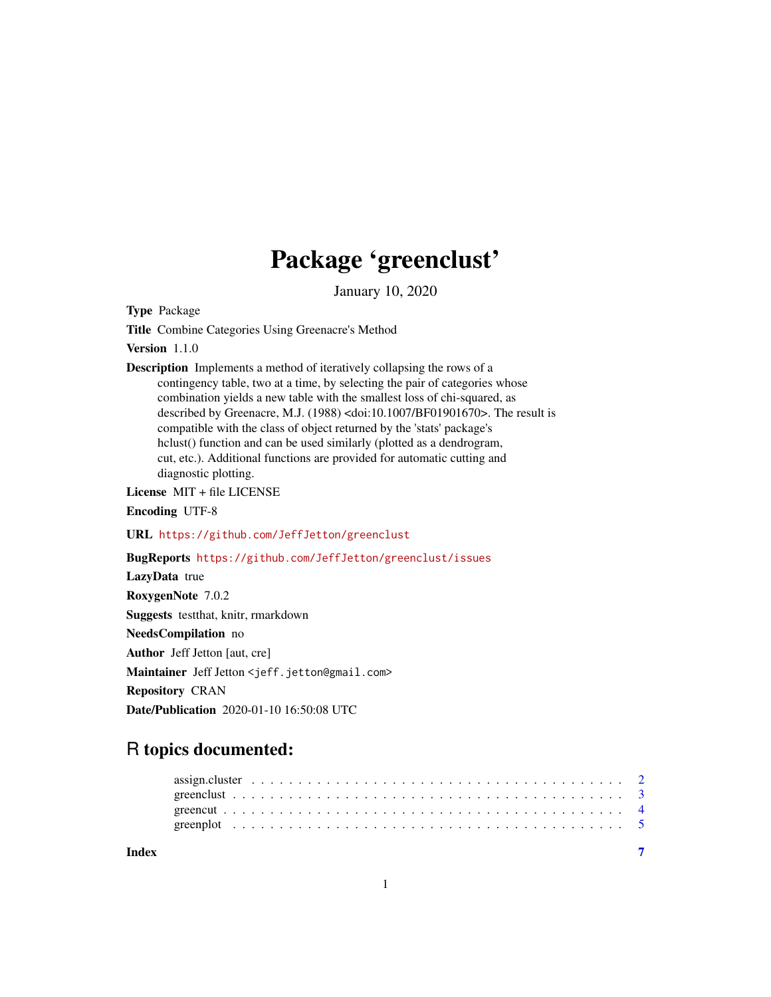## Package 'greenclust'

January 10, 2020

<span id="page-0-0"></span>Type Package

Title Combine Categories Using Greenacre's Method

Version 1.1.0

Description Implements a method of iteratively collapsing the rows of a contingency table, two at a time, by selecting the pair of categories whose combination yields a new table with the smallest loss of chi-squared, as described by Greenacre, M.J. (1988) <doi:10.1007/BF01901670>. The result is compatible with the class of object returned by the 'stats' package's hclust() function and can be used similarly (plotted as a dendrogram, cut, etc.). Additional functions are provided for automatic cutting and diagnostic plotting.

License MIT + file LICENSE

Encoding UTF-8

URL <https://github.com/JeffJetton/greenclust>

BugReports <https://github.com/JeffJetton/greenclust/issues>

LazyData true RoxygenNote 7.0.2 Suggests testthat, knitr, rmarkdown NeedsCompilation no Author Jeff Jetton [aut, cre] Maintainer Jeff Jetton <jeff.jetton@gmail.com> Repository CRAN Date/Publication 2020-01-10 16:50:08 UTC

### R topics documented:

| Index |  |  |  |  |  |  |  |  |  |  |  |  |  |  |  |  |  |  |  |
|-------|--|--|--|--|--|--|--|--|--|--|--|--|--|--|--|--|--|--|--|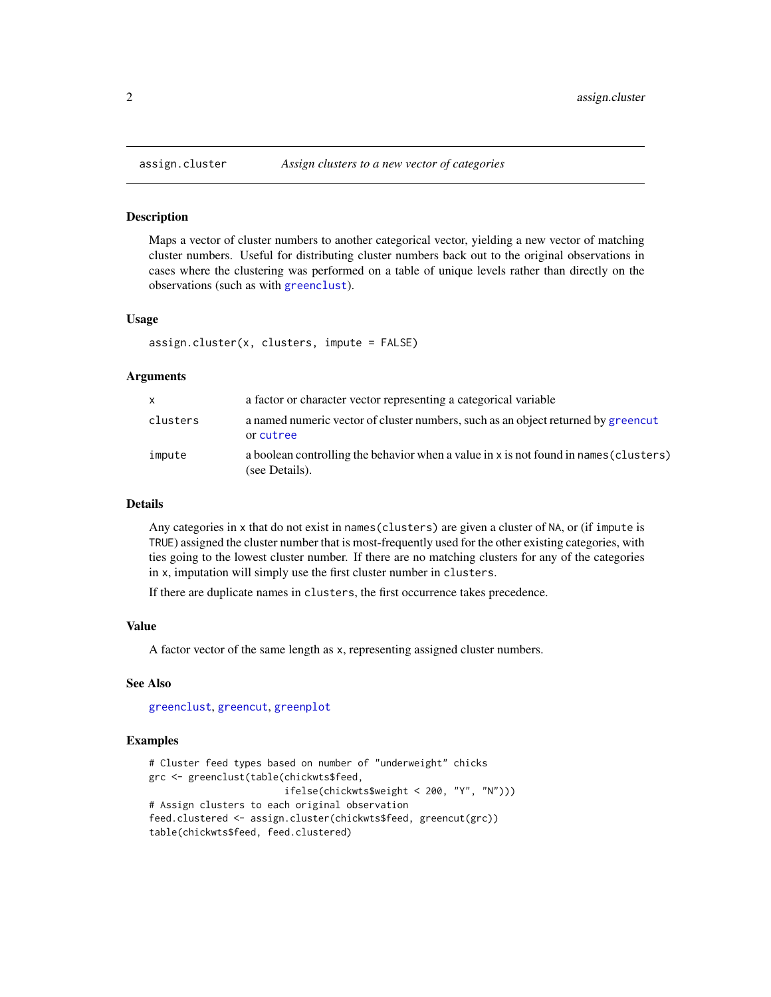#### Description

Maps a vector of cluster numbers to another categorical vector, yielding a new vector of matching cluster numbers. Useful for distributing cluster numbers back out to the original observations in cases where the clustering was performed on a table of unique levels rather than directly on the observations (such as with [greenclust](#page-2-1)).

#### Usage

```
assign.cluster(x, clusters, impute = FALSE)
```
#### Arguments

| X        | a factor or character vector representing a categorical variable                                        |
|----------|---------------------------------------------------------------------------------------------------------|
| clusters | a named numeric vector of cluster numbers, such as an object returned by greencut<br>or cutree          |
| impute   | a boolean controlling the behavior when a value in x is not found in names (clusters)<br>(see Details). |

#### Details

Any categories in x that do not exist in names(clusters) are given a cluster of NA, or (if impute is TRUE) assigned the cluster number that is most-frequently used for the other existing categories, with ties going to the lowest cluster number. If there are no matching clusters for any of the categories in x, imputation will simply use the first cluster number in clusters.

If there are duplicate names in clusters, the first occurrence takes precedence.

#### Value

A factor vector of the same length as x, representing assigned cluster numbers.

#### See Also

[greenclust](#page-2-1), [greencut](#page-3-1), [greenplot](#page-4-1)

#### Examples

```
# Cluster feed types based on number of "underweight" chicks
grc <- greenclust(table(chickwts$feed,
                        ifelse(chickwts$weight < 200, "Y", "N")))
# Assign clusters to each original observation
feed.clustered <- assign.cluster(chickwts$feed, greencut(grc))
table(chickwts$feed, feed.clustered)
```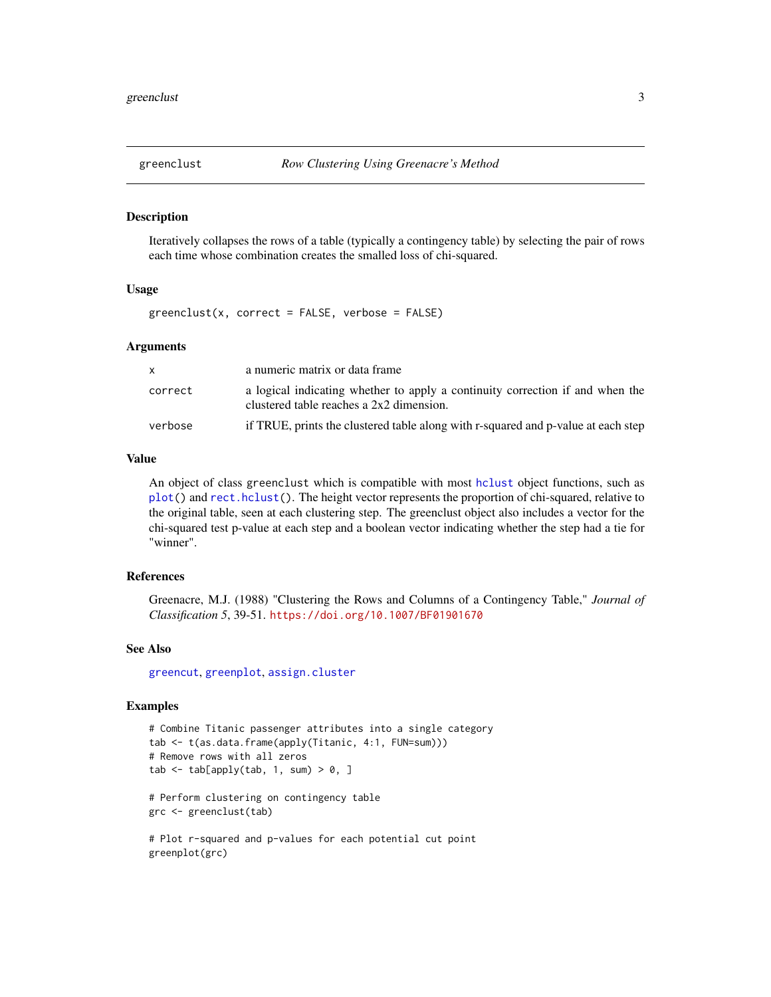<span id="page-2-1"></span><span id="page-2-0"></span>

#### Description

Iteratively collapses the rows of a table (typically a contingency table) by selecting the pair of rows each time whose combination creates the smalled loss of chi-squared.

#### Usage

 $greenclust(x, correct = FALSE, verbose = FALSE)$ 

#### Arguments

|         | a numeric matrix or data frame                                                                                            |
|---------|---------------------------------------------------------------------------------------------------------------------------|
| correct | a logical indicating whether to apply a continuity correction if and when the<br>clustered table reaches a 2x2 dimension. |
| verbose | if TRUE, prints the clustered table along with r-squared and p-value at each step                                         |

#### Value

An object of class greenclust which is compatible with most [hclust](#page-0-0) object functions, such as [plot\(](#page-0-0)) and [rect.hclust\(](#page-0-0)). The height vector represents the proportion of chi-squared, relative to the original table, seen at each clustering step. The greenclust object also includes a vector for the chi-squared test p-value at each step and a boolean vector indicating whether the step had a tie for "winner".

#### References

Greenacre, M.J. (1988) "Clustering the Rows and Columns of a Contingency Table," *Journal of Classification 5*, 39-51. <https://doi.org/10.1007/BF01901670>

#### See Also

[greencut](#page-3-1), [greenplot](#page-4-1), [assign.cluster](#page-1-1)

#### Examples

```
# Combine Titanic passenger attributes into a single category
tab <- t(as.data.frame(apply(Titanic, 4:1, FUN=sum)))
# Remove rows with all zeros
tab \leq tab[apply(tab, 1, sum) > 0, ]
# Perform clustering on contingency table
grc <- greenclust(tab)
# Plot r-squared and p-values for each potential cut point
```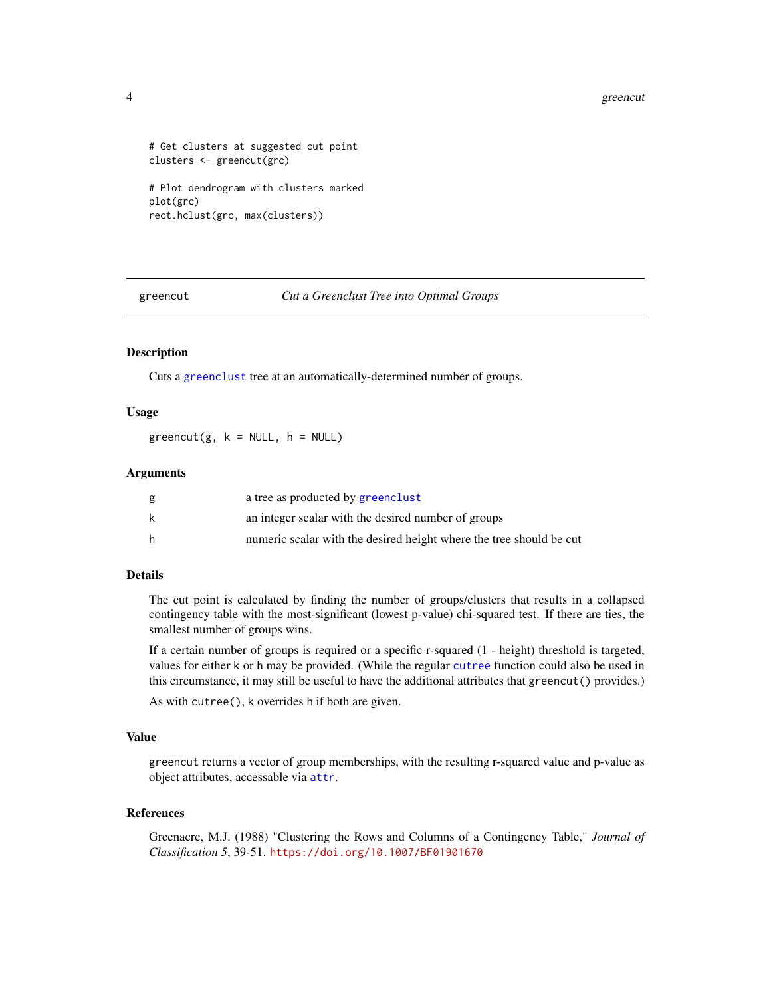#### 4 greencut and the state of the state of the state of the state of the state of the state of the state of the state of the state of the state of the state of the state of the state of the state of the state of the state of

```
# Get clusters at suggested cut point
clusters <- greencut(grc)
# Plot dendrogram with clusters marked
plot(grc)
rect.hclust(grc, max(clusters))
```
<span id="page-3-1"></span>greencut *Cut a Greenclust Tree into Optimal Groups*

#### Description

Cuts a [greenclust](#page-2-1) tree at an automatically-determined number of groups.

#### Usage

 $greencut(g, k = NULL, h = NULL)$ 

#### Arguments

| g | a tree as producted by greenclust                                   |
|---|---------------------------------------------------------------------|
| k | an integer scalar with the desired number of groups                 |
| h | numeric scalar with the desired height where the tree should be cut |

#### Details

The cut point is calculated by finding the number of groups/clusters that results in a collapsed contingency table with the most-significant (lowest p-value) chi-squared test. If there are ties, the smallest number of groups wins.

If a certain number of groups is required or a specific r-squared (1 - height) threshold is targeted, values for either k or h may be provided. (While the regular [cutree](#page-0-0) function could also be used in this circumstance, it may still be useful to have the additional attributes that greencut() provides.)

As with cutree(), k overrides h if both are given.

#### Value

greencut returns a vector of group memberships, with the resulting r-squared value and p-value as object attributes, accessable via [attr](#page-0-0).

#### References

Greenacre, M.J. (1988) "Clustering the Rows and Columns of a Contingency Table," *Journal of Classification 5*, 39-51. <https://doi.org/10.1007/BF01901670>

<span id="page-3-0"></span>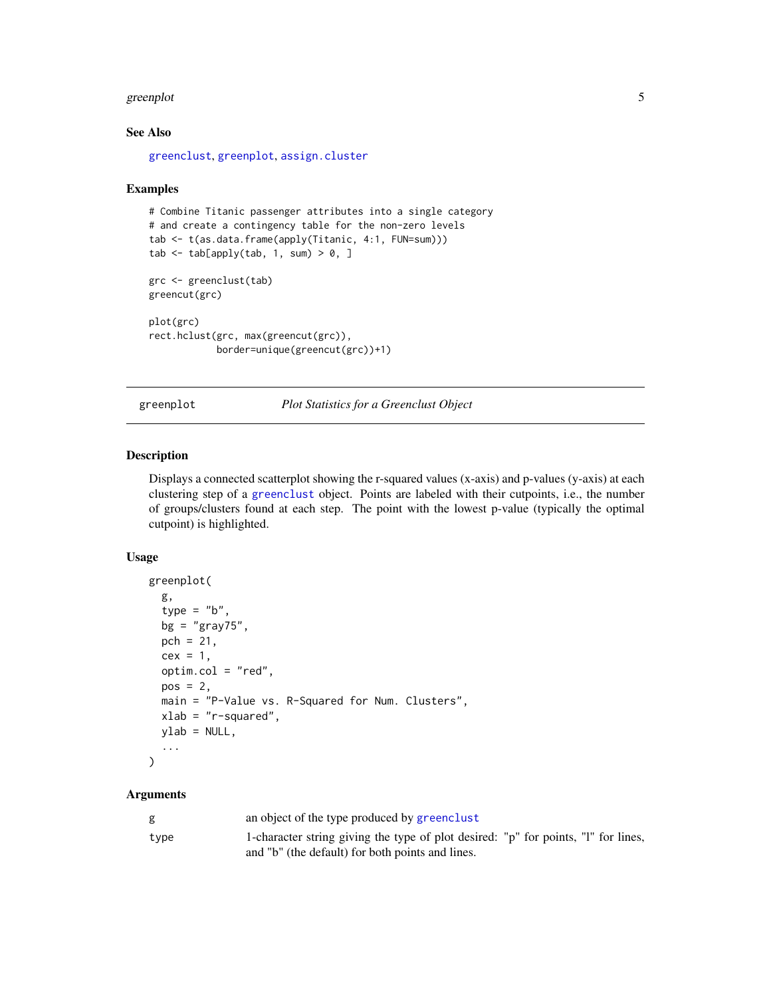#### <span id="page-4-0"></span>greenplot 5

#### See Also

[greenclust](#page-2-1), [greenplot](#page-4-1), [assign.cluster](#page-1-1)

#### Examples

```
# Combine Titanic passenger attributes into a single category
# and create a contingency table for the non-zero levels
tab <- t(as.data.frame(apply(Titanic, 4:1, FUN=sum)))
tab \leq tab[apply(tab, 1, sum) > 0, ]
grc <- greenclust(tab)
greencut(grc)
plot(grc)
rect.hclust(grc, max(greencut(grc)),
            border=unique(greencut(grc))+1)
```
<span id="page-4-1"></span>greenplot *Plot Statistics for a Greenclust Object*

#### Description

Displays a connected scatterplot showing the r-squared values (x-axis) and p-values (y-axis) at each clustering step of a [greenclust](#page-2-1) object. Points are labeled with their cutpoints, i.e., the number of groups/clusters found at each step. The point with the lowest p-value (typically the optimal cutpoint) is highlighted.

#### Usage

```
greenplot(
  g,
  type = "b",
 bg = "gray75",
 pch = 21,
 cex = 1,
 optim.col = "red",
 pos = 2,
 main = "P-Value vs. R-Squared for Num. Clusters",
 xlab = "r-squared",
 ylab = NULL,
  ...
\mathcal{L}
```
#### Arguments

| g    | an object of the type produced by greenclust                                       |
|------|------------------------------------------------------------------------------------|
| type | 1-character string giving the type of plot desired: "p" for points, "l" for lines, |
|      | and "b" (the default) for both points and lines.                                   |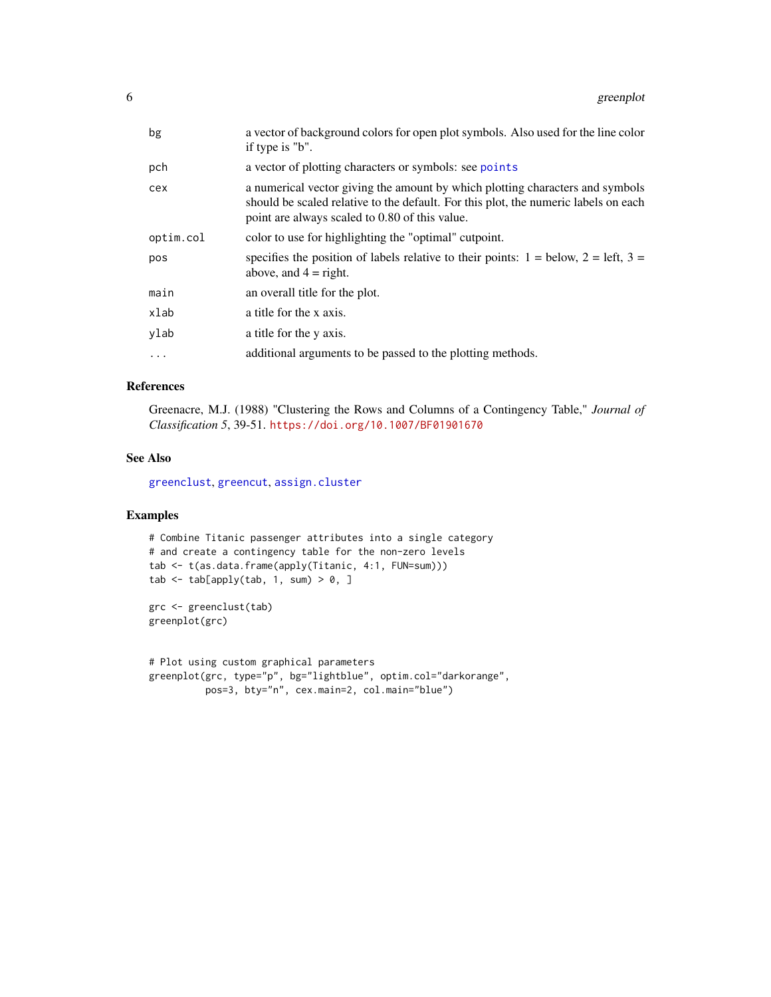<span id="page-5-0"></span>

| bg        | a vector of background colors for open plot symbols. Also used for the line color<br>if type is "b".                                                                                                                   |
|-----------|------------------------------------------------------------------------------------------------------------------------------------------------------------------------------------------------------------------------|
| pch       | a vector of plotting characters or symbols: see points                                                                                                                                                                 |
| cex       | a numerical vector giving the amount by which plotting characters and symbols<br>should be scaled relative to the default. For this plot, the numeric labels on each<br>point are always scaled to 0.80 of this value. |
| optim.col | color to use for highlighting the "optimal" cutpoint.                                                                                                                                                                  |
| pos       | specifies the position of labels relative to their points: $1 =$ below, $2 =$ left, $3 =$<br>above, and $4 =$ right.                                                                                                   |
| main      | an overall title for the plot.                                                                                                                                                                                         |
| xlab      | a title for the x axis.                                                                                                                                                                                                |
| ylab      | a title for the y axis.                                                                                                                                                                                                |
| .         | additional arguments to be passed to the plotting methods.                                                                                                                                                             |
|           |                                                                                                                                                                                                                        |

#### References

Greenacre, M.J. (1988) "Clustering the Rows and Columns of a Contingency Table," *Journal of Classification 5*, 39-51. <https://doi.org/10.1007/BF01901670>

#### See Also

[greenclust](#page-2-1), [greencut](#page-3-1), [assign.cluster](#page-1-1)

#### Examples

```
# Combine Titanic passenger attributes into a single category
# and create a contingency table for the non-zero levels
tab <- t(as.data.frame(apply(Titanic, 4:1, FUN=sum)))
tab \leq tab[apply(tab, 1, sum) > 0, ]
```

```
grc <- greenclust(tab)
greenplot(grc)
```

```
# Plot using custom graphical parameters
greenplot(grc, type="p", bg="lightblue", optim.col="darkorange",
         pos=3, bty="n", cex.main=2, col.main="blue")
```